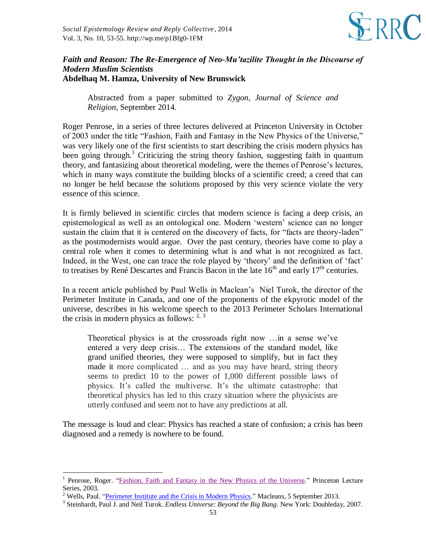

## *Faith and Reason: The Re-Emergence of Neo-Mu'tazilite Thought in the Discourse of Modern Muslim Scientists* **Abdelhaq M. Hamza, University of New Brunswick**

Abstracted from a paper submitted to *Zygon, Journal of Science and Religion*, September 2014.

Roger Penrose, in a series of three lectures delivered at Princeton University in October of 2003 under the title "Fashion, Faith and Fantasy in the New Physics of the Universe," was very likely one of the first scientists to start describing the crisis modern physics has been going through.<sup>1</sup> Criticizing the string theory fashion, suggesting faith in quantum theory, and fantasizing about theoretical modeling, were the themes of Penrose's lectures, which in many ways constitute the building blocks of a scientific creed; a creed that can no longer be held because the solutions proposed by this very science violate the very essence of this science.

It is firmly believed in scientific circles that modern science is facing a deep crisis, an epistemological as well as an ontological one. Modern 'western' science can no longer sustain the claim that it is centered on the discovery of facts, for "facts are theory-laden" as the postmodernists would argue. Over the past century, theories have come to play a central role when it comes to determining what is and what is not recognized as fact. Indeed, in the West, one can trace the role played by 'theory' and the definition of 'fact' to treatises by René Descartes and Francis Bacon in the late  $16<sup>th</sup>$  and early  $17<sup>th</sup>$  centuries.

In a recent article published by Paul Wells in Maclean's Niel Turok, the director of the Perimeter Institute in Canada, and one of the proponents of the ekpyrotic model of the universe, describes in his welcome speech to the 2013 Perimeter Scholars International the crisis in modern physics as follows:  $2, 3$ 

Theoretical physics is at the crossroads right now …in a sense we've entered a very deep crisis… The extensions of the standard model, like grand unified theories, they were supposed to simplify, but in fact they made it more complicated … and as you may have heard, string theory seems to predict 10 to the power of 1,000 different possible laws of physics. It's called the multiverse. It's the ultimate catastrophe: that theoretical physics has led to this crazy situation where the physicists are utterly confused and seem not to have any predictions at all.

The message is loud and clear: Physics has reached a state of confusion; a crisis has been diagnosed and a remedy is nowhere to be found.

l

<sup>1</sup> Penrose, Roger. ["Fashion, Faith and Fantasy in the New Physics of the Universe.](http://lectures.princeton.edu/2006/roger-penrose)" Princeton Lecture Series, 2003.

 $2^2$  Wells, Paul. "Perimeter [Institute and the Crisis in Modern Physics.](http://www.macleans.ca/politics/ottawa/perimeter-institute-and-the-crisis-in-modern-physics/)" Macleans, 5 September 2013.

<sup>3</sup> Steinhardt, Paul J. and Neil Turok. *Endless Universe: Beyond the Big Bang*. New York: Doubleday, 2007.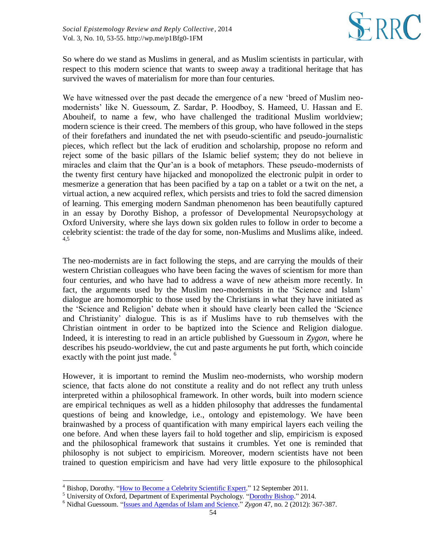

So where do we stand as Muslims in general, and as Muslim scientists in particular, with respect to this modern science that wants to sweep away a traditional heritage that has survived the waves of materialism for more than four centuries.

We have witnessed over the past decade the emergence of a new 'breed of Muslim neomodernists' like N. Guessoum, Z. Sardar, P. Hoodboy, S. Hameed, U. Hassan and E. Abouheif, to name a few, who have challenged the traditional Muslim worldview; modern science is their creed. The members of this group, who have followed in the steps of their forefathers and inundated the net with pseudo-scientific and pseudo-journalistic pieces, which reflect but the lack of erudition and scholarship, propose no reform and reject some of the basic pillars of the Islamic belief system; they do not believe in miracles and claim that the Qur'an is a book of metaphors. These pseudo-modernists of the twenty first century have hijacked and monopolized the electronic pulpit in order to mesmerize a generation that has been pacified by a tap on a tablet or a twit on the net, a virtual action, a new acquired reflex, which persists and tries to fold the sacred dimension of learning. This emerging modern Sandman phenomenon has been beautifully captured in an essay by Dorothy Bishop, a professor of Developmental Neuropsychology at Oxford University, where she lays down six golden rules to follow in order to become a celebrity scientist: the trade of the day for some, non-Muslims and Muslims alike, indeed. 4,5

The neo-modernists are in fact following the steps, and are carrying the moulds of their western Christian colleagues who have been facing the waves of scientism for more than four centuries, and who have had to address a wave of new atheism more recently. In fact, the arguments used by the Muslim neo-modernists in the 'Science and Islam' dialogue are homomorphic to those used by the Christians in what they have initiated as the 'Science and Religion' debate when it should have clearly been called the 'Science and Christianity' dialogue. This is as if Muslims have to rub themselves with the Christian ointment in order to be baptized into the Science and Religion dialogue. Indeed, it is interesting to read in an article published by Guessoum in *Zygon*, where he describes his pseudo-worldview, the cut and paste arguments he put forth, which coincide exactly with the point just made. <sup>6</sup>

However, it is important to remind the Muslim neo-modernists, who worship modern science, that facts alone do not constitute a reality and do not reflect any truth unless interpreted within a philosophical framework. In other words, built into modern science are empirical techniques as well as a hidden philosophy that addresses the fundamental questions of being and knowledge, i.e., ontology and epistemology. We have been brainwashed by a process of quantification with many empirical layers each veiling the one before. And when these layers fail to hold together and slip, empiricism is exposed and the philosophical framework that sustains it crumbles. Yet one is reminded that philosophy is not subject to empiricism. Moreover, modern scientists have not been trained to question empiricism and have had very little exposure to the philosophical

l

<sup>&</sup>lt;sup>4</sup> Bishop, Dorothy. ["How to Become a Celebrity Scientific Expert.](http://deevybee.blogspot.co.uk/2011/09/how-to-become-celebrity-scientific.html)" 12 September 2011.

<sup>5</sup> University of Oxford, Department of Experimental Psychology. ["Dorothy Bishop.](http://www.psy.ox.ac.uk/team/principal-investigators/dorothy-bishop)" 2014.

<sup>6</sup> Nidhal Guessoum. ["Issues and Agendas of Islam and Science.](http://onlinelibrary.wiley.com/doi/10.1111/j.1467-9744.2012.01261.x/abstract)" *Zygon* 47, no. 2 (2012): 367-387.